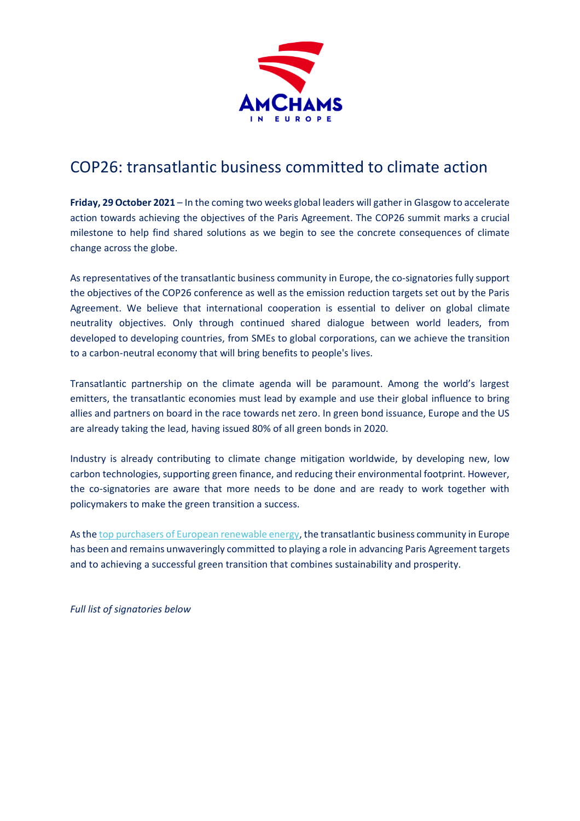

## COP26: transatlantic business committed to climate action

**Friday, 29 October 2021** – In the coming two weeks global leaders will gather in Glasgow to accelerate action towards achieving the objectives of the Paris Agreement. The COP26 summit marks a crucial milestone to help find shared solutions as we begin to see the concrete consequences of climate change across the globe.

As representatives of the transatlantic business community in Europe, the co-signatories fully support the objectives of the COP26 conference as well as the emission reduction targets set out by the Paris Agreement. We believe that international cooperation is essential to deliver on global climate neutrality objectives. Only through continued shared dialogue between world leaders, from developed to developing countries, from SMEs to global corporations, can we achieve the transition to a carbon-neutral economy that will bring benefits to people's lives.

Transatlantic partnership on the climate agenda will be paramount. Among the world's largest emitters, the transatlantic economies must lead by example and use their global influence to bring allies and partners on board in the race towards net zero. In green bond issuance, Europe and the US are already taking the lead, having issued 80% of all green bonds in 2020.

Industry is already contributing to climate change mitigation worldwide, by developing new, low carbon technologies, supporting green finance, and reducing their environmental footprint. However, the co-signatories are aware that more needs to be done and are ready to work together with policymakers to make the green transition a success.

As the [top purchasers of European renewable energy,](https://www.thrivingtogether.eu/analysis/146-the-transatlantic-energy-economy) the transatlantic business community in Europe has been and remains unwaveringly committed to playing a role in advancing Paris Agreement targets and to achieving a successful green transition that combines sustainability and prosperity.

*Full list of signatories below*